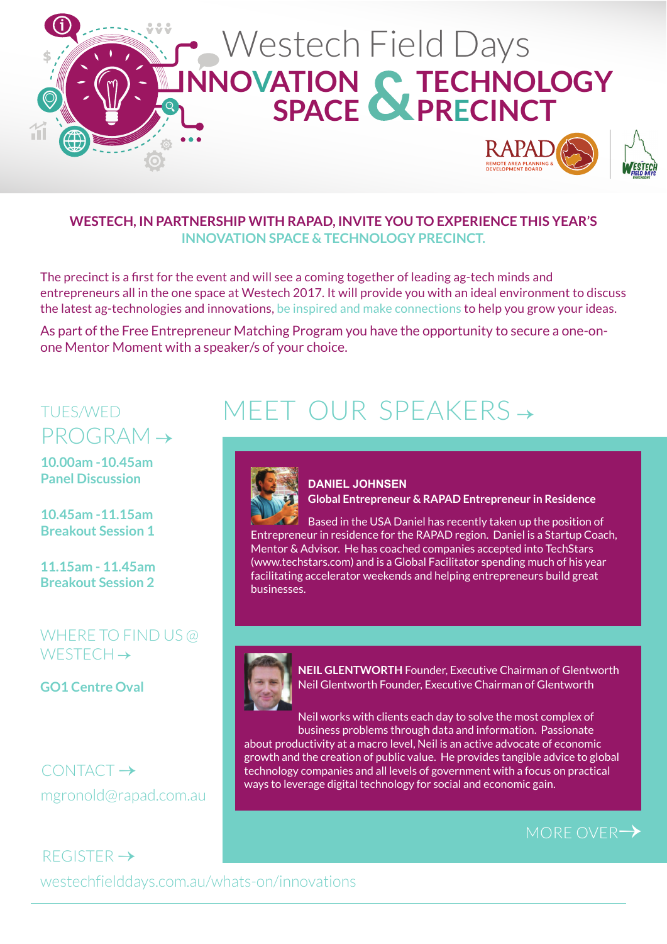

# **Westech, in partnership with RAPAD, invite you to experience this year's Innovation Space & Technology Precinct.**

The precinct is a first for the event and will see a coming together of leading ag-tech minds and entrepreneurs all in the one space at Westech 2017. It will provide you with an ideal environment to discuss the latest ag-technologies and innovations, be inspired and make connections to help you grow your ideas.

As part of the Free Entrepreneur Matching Program you have the opportunity to secure a one-onone Mentor Moment with a speaker/s of your choice.

# TUES/WED PROGRAM →

**10.00am -10.45am Panel Discussion**

**10.45am -11.15am Breakout Session 1**

**11.15am - 11.45am Breakout Session 2**

# WHERE TO FIND US @ WESTECH →

**GO1 Centre Oval**

CONTACT → [mgronold@rapad.com.au](mailto:mgronold%40rapad.com.au?subject=Westech%20Field%20Days%20innovations)

# REGISTER → [westechfielddays.com.au/whats-on/innovations](http://westechfielddays.com.au/whats-on/innovations)

# MEET OUR SPEAKERS →



### **DANIEL JOHNSEN Global Entrepreneur & RAPAD Entrepreneur in Residence**

Based in the USA Daniel has recently taken up the position of Entrepreneur in residence for the RAPAD region. Daniel is a Startup Coach, Mentor & Advisor. He has coached companies accepted into TechStars (www.techstars.com) and is a Global Facilitator spending much of his year facilitating accelerator weekends and helping entrepreneurs build great businesses.



**NEIL GLENTWORTH** Founder, Executive Chairman of Glentworth Neil Glentworth Founder, Executive Chairman of Glentworth

Neil works with clients each day to solve the most complex of business problems through data and information. Passionate

about productivity at a macro level, Neil is an active advocate of economic growth and the creation of public value. He provides tangible advice to global technology companies and all levels of government with a focus on practical ways to leverage digital technology for social and economic gain.

# MORE OVER $\rightarrow$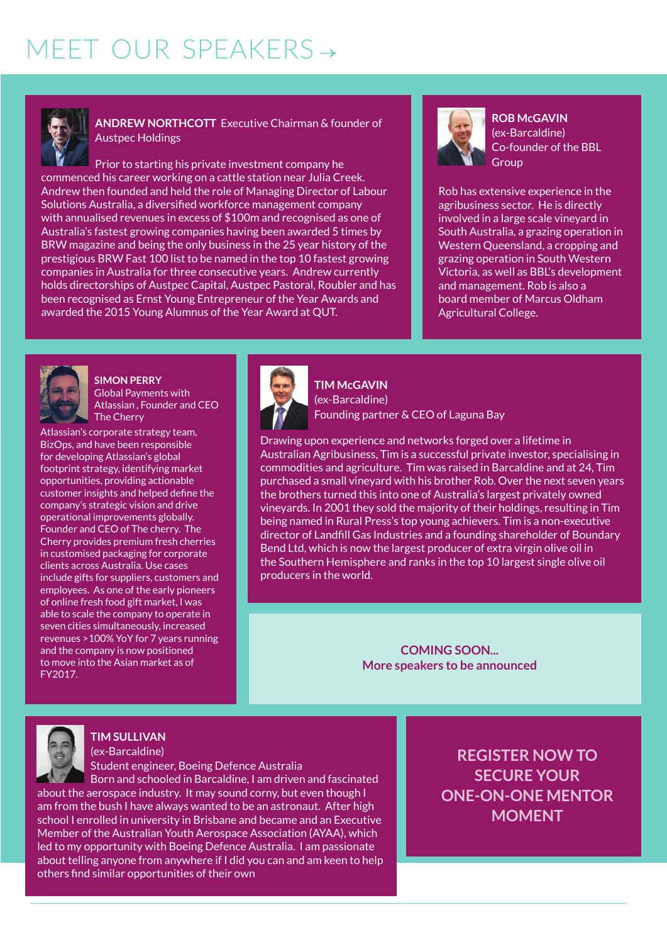# MEET OUR SPEAKERS →



**ANDREW NORTHCOTT** Executive Chairman & founder of Austpec Holdings

Prior to starting his private investment company he commenced his career working on a cattle station near Julia Creek. Andrew then founded and held the role of Managing Director of Labour Solutions Australia, a diversified workforce management company with annualised revenues in excess of \$100m and recognised as one of Australia's fastest growing companies having been awarded 5 times by BRW magazine and being the only business in the 25 year history of the prestigious BRW Fast 100 list to be named in the top 10 fastest growing companies in Australia for three consecutive years. Andrew currently holds directorships of Austpec Capital, Austpec Pastoral, Roubler and has been recognised as Ernst Young Entrepreneur of the Year Awards and awarded the 2015 Young Alumnus of the Year Award at QUT.



**ROB McGAVIN** (ex-Barcaldine) Co-founder of the BBL **Group** 

Rob has extensive experience in the agribusiness sector. He is directly involved in a large scale vineyard in South Australia, a grazing operation in Western Queensland, a cropping and grazing operation in South Western Victoria, as well as BBL's development and management. Rob is also a board member of Marcus Oldham Agricultural College.



**SIMON PERRY** Global Payments with Atlassian , Founder and CEO The Cherry

Atlassian's corporate strategy team, BizOps, and have been responsible for developing Atlassian's global footprint strategy, identifying market opportunities, providing actionable customer insights and helped define the company's strategic vision and drive operational improvements globally. Founder and CEO of The cherry. The Cherry provides premium fresh cherries in customised packaging for corporate clients across Australia. Use cases include gifts for suppliers, customers and employees. As one of the early pioneers of online fresh food gift market, I was able to scale the company to operate in seven cities simultaneously, increased revenues >100% YoY for 7 years running and the company is now positioned to move into the Asian market as of FY2017.



**TIM McGAVIN**  (ex-Barcaldine) Founding partner & CEO of Laguna Bay

Drawing upon experience and networks forged over a lifetime in Australian Agribusiness, Tim is a successful private investor, specialising in commodities and agriculture. Tim was raised in Barcaldine and at 24, Tim purchased a small vineyard with his brother Rob. Over the next seven years the brothers turned this into one of Australia's largest privately owned vineyards. In 2001 they sold the majority of their holdings, resulting in Tim being named in Rural Press's top young achievers. Tim is a non-executive director of Landfill Gas Industries and a founding shareholder of Boundary Bend Ltd, which is now the largest producer of extra virgin olive oil in the Southern Hemisphere and ranks in the top 10 largest single olive oil producers in the world.

> **COMING SOON... More speakers to be announced**



#### **TIM SULLIVAN**

(ex-Barcaldine)

Student engineer, Boeing Defence Australia

Born and schooled in Barcaldine, I am driven and fascinated about the aerospace industry. It may sound corny, but even though I am from the bush I have always wanted to be an astronaut. After high school I enrolled in university in Brisbane and became and an Executive Member of the Australian Youth Aerospace Association (AYAA), which led to my opportunity with Boeing Defence Australia. I am passionate about telling anyone from anywhere if I did you can and am keen to help others find similar opportunities of their own

**Register now to secure your one-on-one Mentor Moment**